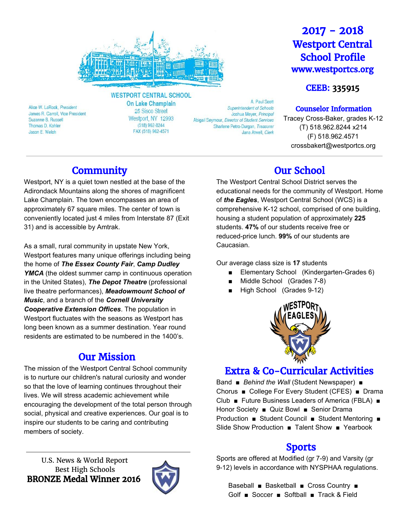

**WESTPORT CENTRAL SCHOOL** 

Alice W. LaRock, President James R. Carroll, Vice President Suzanne B. Russell Thomas D. Kohler Jason E. Welch

On Lake Champlain 25 Sisco Street Westport, NY 12993  $(518) 962 - 8244$ FAX (518) 962-4571

A Paul Scott **Superintendent of Schools** Joshua Meyer, Principal Abigail Seymour, Director of Student Services Sharlene Petro-Durgan, Treasurer Jana Atwell, Clerk

# 2017 - 2018 Westport Central School Profile www.westportcs.org

## CEEB: 335915

### Counselor Information

Tracey Cross-Baker, grades K-12 (T) 518.962.8244 x214 (F) 518.962.4571 crossbakert@westportcs.org

# **Community**

Westport, NY is a quiet town nestled at the base of the Adirondack Mountains along the shores of magnificent Lake Champlain. The town encompasses an area of approximately 67 square miles. The center of town is conveniently located just 4 miles from Interstate 87 (Exit 31) and is accessible by Amtrak.

As a small, rural community in upstate New York, Westport features many unique offerings including being the home of *The Essex County Fair*, *Camp Dudley YMCA* (the oldest summer camp in continuous operation in the United States), *The Depot Theatre* (professional live theatre performances), *Meadowmount School of Music*, and a branch of the *Cornell University Cooperative Extension Offices*. The population in Westport fluctuates with the seasons as Westport has long been known as a summer destination. Year round residents are estimated to be numbered in the 1400's.

## Our Mission

The mission of the Westport Central School community is to nurture our children's natural curiosity and wonder so that the love of learning continues throughout their lives. We will stress academic achievement while encouraging the development of the total person through social, physical and creative experiences. Our goal is to inspire our students to be caring and contributing members of society.

U.S. News & World Report Best High Schools BRONZE Medal Winner 2016



# Our School

The Westport Central School District serves the educational needs for the community of Westport. Home of *the Eagles*, Westport Central School (WCS) is a comprehensive K-12 school, comprised of one building, housing a student population of approximately **225** students. **47%** of our students receive free or reduced-price lunch. **99%** of our students are Caucasian.

Our average class size is **17** students

- Elementary School (Kindergarten-Grades 6)
- Middle School (Grades 7-8)
- High School (Grades 9-12)



# Extra & Co-Curricular Activities

Band ■ *Behind the Wall* (Student Newspaper) ■ Chorus ■ College For Every Student (CFES) ■ Drama Club ■ Future Business Leaders of America (FBLA) ■ Honor Society ■ Quiz Bowl ■ Senior Drama Production ■ Student Council ■ Student Mentoring ■ Slide Show Production ■ Talent Show ■ Yearbook

# Sports

Sports are offered at Modified (gr 7-9) and Varsity (gr 9-12) levels in accordance with NYSPHAA regulations.

Baseball ■ Basketball ■ Cross Country ■ Golf ■ Soccer ■ Softball ■ Track & Field